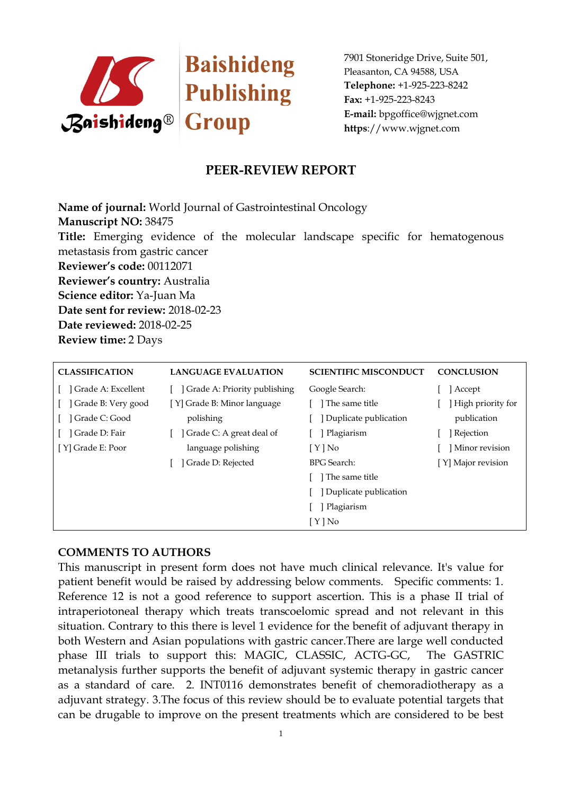

## **PEER-REVIEW REPORT**

**Name of journal:** World Journal of Gastrointestinal Oncology **Manuscript NO:** 38475 **Title:** Emerging evidence of the molecular landscape specific for hematogenous metastasis from gastric cancer **Reviewer's code:** 00112071 **Reviewer's country:** Australia **Science editor:** Ya-Juan Ma **Date sent for review:** 2018-02-23 **Date reviewed:** 2018-02-25 **Review time:** 2 Days

| <b>CLASSIFICATION</b> | <b>LANGUAGE EVALUATION</b>   | <b>SCIENTIFIC MISCONDUCT</b> | <b>CONCLUSION</b>  |
|-----------------------|------------------------------|------------------------------|--------------------|
| Grade A: Excellent    | Grade A: Priority publishing | Google Search:               | Accept             |
| Grade B: Very good    | [Y] Grade B: Minor language  | The same title               | High priority for  |
| Grade C: Good         | polishing                    | Duplicate publication        | publication        |
| Grade D: Fair         | Grade C: A great deal of     | Plagiarism                   | Rejection          |
| [Y] Grade E: Poor     | language polishing           | [ Y ] No                     | Minor revision     |
|                       | Grade D: Rejected            | <b>BPG</b> Search:           | [Y] Major revision |
|                       |                              | 1 The same title             |                    |
|                       |                              | Duplicate publication        |                    |
|                       |                              | Plagiarism                   |                    |
|                       |                              | $[ Y ]$ No                   |                    |

### **COMMENTS TO AUTHORS**

This manuscript in present form does not have much clinical relevance. It's value for patient benefit would be raised by addressing below comments. Specific comments: 1. Reference 12 is not a good reference to support ascertion. This is a phase II trial of intraperiotoneal therapy which treats transcoelomic spread and not relevant in this situation. Contrary to this there is level 1 evidence for the benefit of adjuvant therapy in both Western and Asian populations with gastric cancer.There are large well conducted phase III trials to support this: MAGIC, CLASSIC, ACTG-GC, The GASTRIC metanalysis further supports the benefit of adjuvant systemic therapy in gastric cancer as a standard of care. 2. INT0116 demonstrates benefit of chemoradiotherapy as a adjuvant strategy. 3.The focus of this review should be to evaluate potential targets that can be drugable to improve on the present treatments which are considered to be best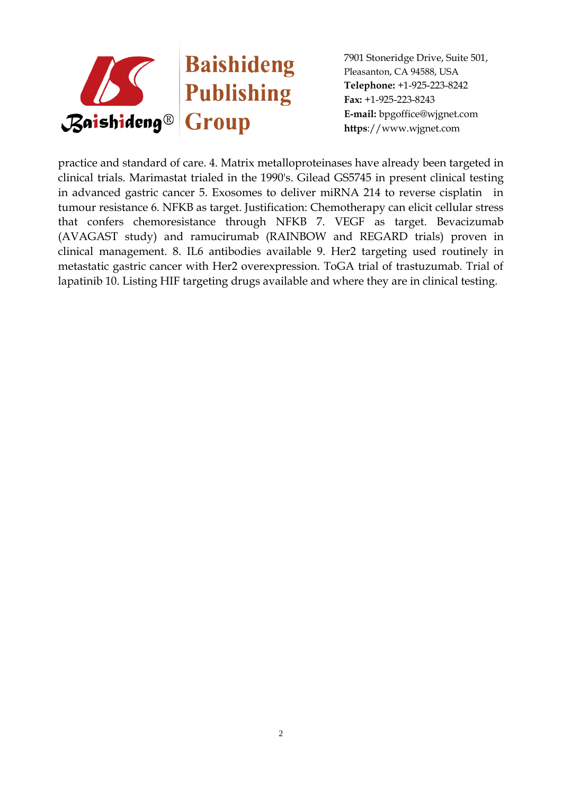

practice and standard of care. 4. Matrix metalloproteinases have already been targeted in clinical trials. Marimastat trialed in the 1990's. Gilead GS5745 in present clinical testing in advanced gastric cancer 5. Exosomes to deliver miRNA 214 to reverse cisplatin in tumour resistance 6. NFKB as target. Justification: Chemotherapy can elicit cellular stress that confers chemoresistance through NFKB 7. VEGF as target. Bevacizumab (AVAGAST study) and ramucirumab (RAINBOW and REGARD trials) proven in clinical management. 8. IL6 antibodies available 9. Her2 targeting used routinely in metastatic gastric cancer with Her2 overexpression. ToGA trial of trastuzumab. Trial of lapatinib 10. Listing HIF targeting drugs available and where they are in clinical testing.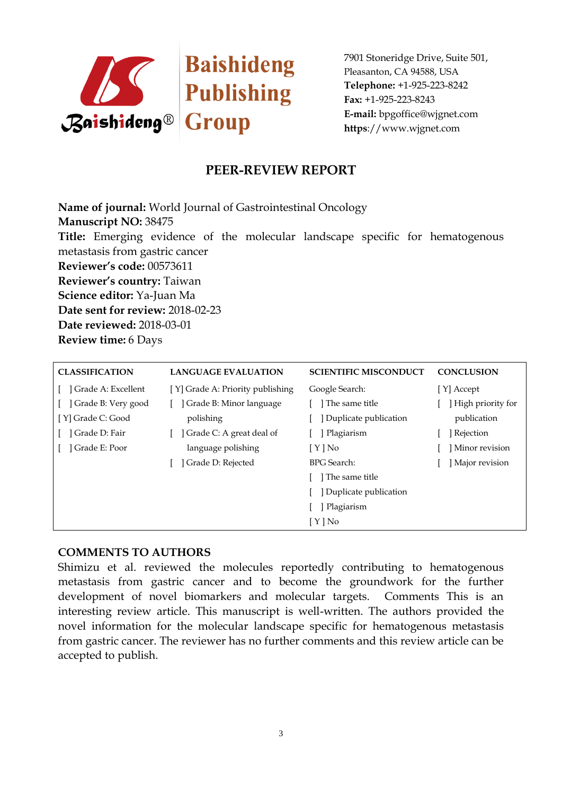

# **PEER-REVIEW REPORT**

**Name of journal:** World Journal of Gastrointestinal Oncology **Manuscript NO:** 38475 **Title:** Emerging evidence of the molecular landscape specific for hematogenous metastasis from gastric cancer **Reviewer's code:** 00573611 **Reviewer's country:** Taiwan **Science editor:** Ya-Juan Ma **Date sent for review:** 2018-02-23 **Date reviewed:** 2018-03-01 **Review time:** 6 Days

| <b>CLASSIFICATION</b> | <b>LANGUAGE EVALUATION</b>       | <b>SCIENTIFIC MISCONDUCT</b> | <b>CONCLUSION</b> |
|-----------------------|----------------------------------|------------------------------|-------------------|
| Grade A: Excellent    | [Y] Grade A: Priority publishing | Google Search:               | [Y] Accept        |
| Grade B: Very good    | Grade B: Minor language          | The same title               | High priority for |
| [Y] Grade C: Good     | polishing                        | Duplicate publication        | publication       |
| Grade D: Fair         | Grade C: A great deal of         | Plagiarism                   | Rejection         |
| Grade E: Poor         | language polishing               | $[ Y ]$ No                   | Minor revision    |
|                       | Grade D: Rejected                | <b>BPG</b> Search:           | Major revision    |
|                       |                                  | The same title               |                   |
|                       |                                  | Duplicate publication        |                   |
|                       |                                  | Plagiarism                   |                   |
|                       |                                  | [Y]No                        |                   |

### **COMMENTS TO AUTHORS**

Shimizu et al. reviewed the molecules reportedly contributing to hematogenous metastasis from gastric cancer and to become the groundwork for the further development of novel biomarkers and molecular targets. Comments This is an interesting review article. This manuscript is well-written. The authors provided the novel information for the molecular landscape specific for hematogenous metastasis from gastric cancer. The reviewer has no further comments and this review article can be accepted to publish.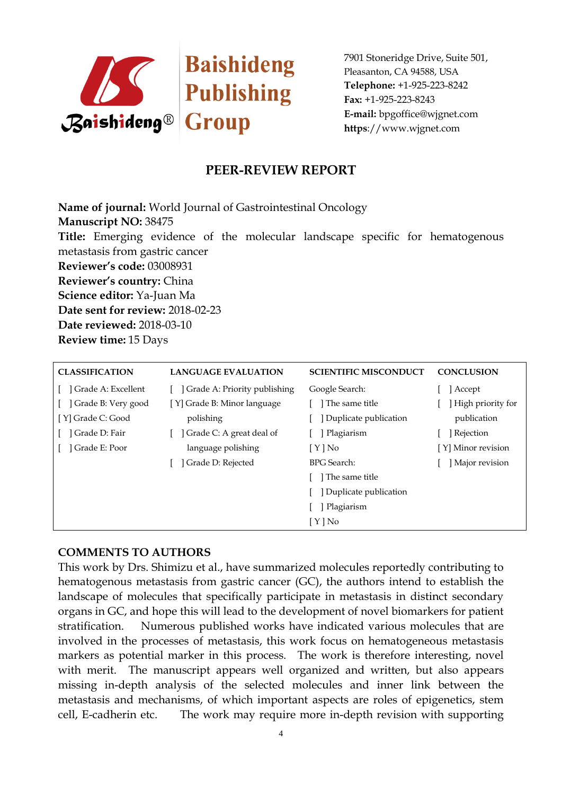

## **PEER-REVIEW REPORT**

**Name of journal:** World Journal of Gastrointestinal Oncology **Manuscript NO:** 38475 **Title:** Emerging evidence of the molecular landscape specific for hematogenous metastasis from gastric cancer **Reviewer's code:** 03008931 **Reviewer's country:** China **Science editor:** Ya-Juan Ma **Date sent for review:** 2018-02-23 **Date reviewed:** 2018-03-10 **Review time:** 15 Days

| <b>CLASSIFICATION</b> | <b>LANGUAGE EVALUATION</b>   | <b>SCIENTIFIC MISCONDUCT</b> | <b>CONCLUSION</b>  |
|-----------------------|------------------------------|------------------------------|--------------------|
| Grade A: Excellent    | Grade A: Priority publishing | Google Search:               | Accept             |
| Grade B: Very good    | [Y] Grade B: Minor language  | l The same title             | High priority for  |
| [Y] Grade C: Good     | polishing                    | Duplicate publication        | publication        |
| Grade D: Fair         | Grade C: A great deal of     | Plagiarism                   | Rejection          |
| Grade E: Poor         | language polishing           | [Y]No                        | [Y] Minor revision |
|                       | Grade D: Rejected            | <b>BPG</b> Search:           | Major revision     |
|                       |                              | The same title               |                    |
|                       |                              | Duplicate publication        |                    |
|                       |                              | Plagiarism                   |                    |
|                       |                              | $[ Y ]$ No                   |                    |

### **COMMENTS TO AUTHORS**

This work by Drs. Shimizu et al., have summarized molecules reportedly contributing to hematogenous metastasis from gastric cancer (GC), the authors intend to establish the landscape of molecules that specifically participate in metastasis in distinct secondary organs in GC, and hope this will lead to the development of novel biomarkers for patient stratification. Numerous published works have indicated various molecules that are involved in the processes of metastasis, this work focus on hematogeneous metastasis markers as potential marker in this process. The work is therefore interesting, novel with merit. The manuscript appears well organized and written, but also appears missing in-depth analysis of the selected molecules and inner link between the metastasis and mechanisms, of which important aspects are roles of epigenetics, stem cell, E-cadherin etc. The work may require more in-depth revision with supporting